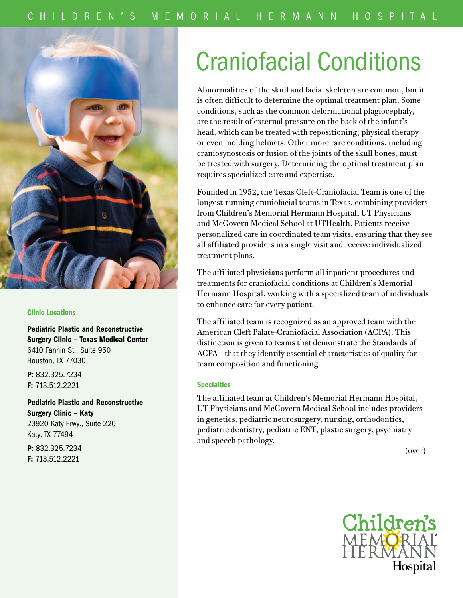

## Clinic Locations

Pediatric Plastic and Reconstructive Surgery Clinic – Texas Medical Center 6410 Fannin St., Suite 950 Houston, TX 77030

P: 832.325.7234 F: 713.512.2221

Pediatric Plastic and Reconstructive Surgery Clinic – Katy 23920 Katy Frwy., Suite 220 Katy, TX 77494

P: 832.325.7234 F: 713.512.2221

# Craniofacial Conditions

Abnormalities of the skull and facial skeleton are common, but it is often difficult to determine the optimal treatment plan. Some conditions, such as the common deformational plagiocephaly, are the result of external pressure on the back of the infant's head, which can be treated with repositioning, physical therapy or even molding helmets. Other more rare conditions, including craniosynostosis or fusion of the joints of the skull bones, must be treated with surgery. Determining the optimal treatment plan requires specialized care and expertise.

Founded in 1952, the Texas Cleft-Craniofacial Team is one of the longest-running craniofacial teams in Texas, combining providers from Children's Memorial Hermann Hospital, UT Physicians and McGovern Medical School at UTHealth. Patients receive personalized care in coordinated team visits, ensuring that they see all affiliated providers in a single visit and receive individualized treatment plans.

The affiliated physicians perform all inpatient procedures and treatments for craniofacial conditions at Children's Memorial Hermann Hospital, working with a specialized team of individuals to enhance care for every patient.

The affiliated team is recognized as an approved team with the American Cleft Palate-Craniofacial Association (ACPA). This distinction is given to teams that demonstrate the Standards of ACPA – that they identify essential characteristics of quality for team composition and functioning.

#### **Specialties**

The affiliated team at Children's Memorial Hermann Hospital, UT Physicians and McGovern Medical School includes providers in genetics, pediatric neurosurgery, nursing, orthodontics, pediatric dentistry, pediatric ENT, plastic surgery, psychiatry and speech pathology.

(over)

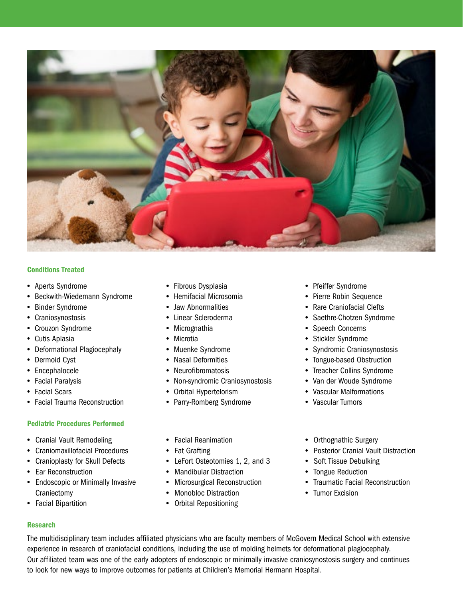

# Conditions Treated

- Aperts Syndrome
- Beckwith-Wiedemann Syndrome
- Binder Syndrome
- Craniosynostosis
- Crouzon Syndrome
- Cutis Aplasia
- Deformational Plagiocephaly
- Dermoid Cyst
- Encephalocele
- Facial Paralysis
- Facial Scars
- Facial Trauma Reconstruction

# Pediatric Procedures Performed

- Cranial Vault Remodeling
- Craniomaxillofacial Procedures
- Cranioplasty for Skull Defects
- Ear Reconstruction
- Endoscopic or Minimally Invasive Craniectomy
- Facial Bipartition
- Fibrous Dysplasia
- Hemifacial Microsomia
- Jaw Abnormalities
- Linear Scleroderma
- Micrognathia
- Microtia
- Muenke Syndrome
- Nasal Deformities
- Neurofibromatosis
- Non-syndromic Craniosynostosis
- Orbital Hypertelorism
- Parry-Romberg Syndrome
- Facial Reanimation
- Fat Grafting
- LeFort Osteotomies 1, 2, and 3
- Mandibular Distraction
- Microsurgical Reconstruction
- Monobloc Distraction
- Orbital Repositioning
- Pfeiffer Syndrome
- Pierre Robin Sequence
- Rare Craniofacial Clefts
- Saethre-Chotzen Syndrome
- Speech Concerns
- Stickler Syndrome
- Syndromic Craniosynostosis
- Tongue-based Obstruction
- Treacher Collins Syndrome
- Van der Woude Syndrome
- Vascular Malformations
- Vascular Tumors
- Orthognathic Surgery
- Posterior Cranial Vault Distraction
- Soft Tissue Debulking
- Tongue Reduction
- Traumatic Facial Reconstruction
- Tumor Excision

## Research

The multidisciplinary team includes affiliated physicians who are faculty members of McGovern Medical School with extensive experience in research of craniofacial conditions, including the use of molding helmets for deformational plagiocephaly. Our affiliated team was one of the early adopters of endoscopic or minimally invasive craniosynostosis surgery and continues to look for new ways to improve outcomes for patients at Children's Memorial Hermann Hospital.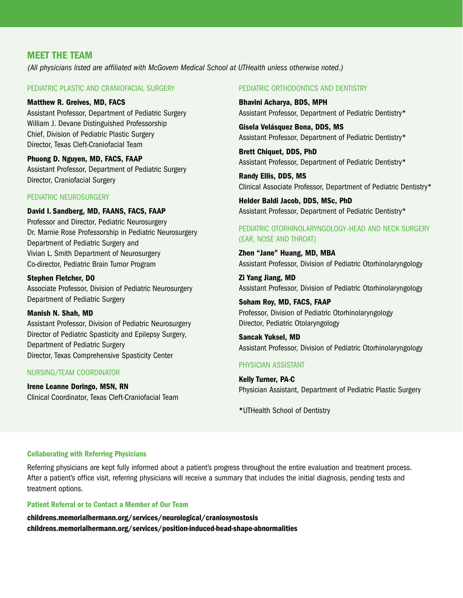# MEET THE TEAM

*(All physicians listed are affiliated with McGovern Medical School at UTHealth unless otherwise noted.)*

PEDIATRIC PLASTIC AND CRANIOFACIAL SURGERY

Matthew R. Greives, MD, FACS Assistant Professor, Department of Pediatric Surgery William J. Devane Distinguished Professorship Chief, Division of Pediatric Plastic Surgery Director, Texas Cleft-Craniofacial Team

Phuong D. Nguyen, MD, FACS, FAAP Assistant Professor, Department of Pediatric Surgery Director, Craniofacial Surgery

#### PEDIATRIC NEUROSURGERY

David I. Sandberg, MD, FAANS, FACS, FAAP Professor and Director, Pediatric Neurosurgery Dr. Marnie Rose Professorship in Pediatric Neurosurgery Department of Pediatric Surgery and Vivian L. Smith Department of Neurosurgery

Stephen Fletcher, DO Associate Professor, Division of Pediatric Neurosurgery Department of Pediatric Surgery

Co-director, Pediatric Brain Tumor Program

Manish N. Shah, MD Assistant Professor, Division of Pediatric Neurosurgery Director of Pediatric Spasticity and Epilepsy Surgery, Department of Pediatric Surgery Director, Texas Comprehensive Spasticity Center

#### NURSING/TEAM COORDINATOR

Irene Leanne Doringo, MSN, RN Clinical Coordinator, Texas Cleft-Craniofacial Team

#### PEDIATRIC ORTHODONTICS AND DENTISTRY

Bhavini Acharya, BDS, MPH Assistant Professor, Department of Pediatric Dentistry\*

Gisela Velásquez Bona, DDS, MS Assistant Professor, Department of Pediatric Dentistry\*

Brett Chiquet, DDS, PhD Assistant Professor, Department of Pediatric Dentistry\*

Randy Ellis, DDS, MS Clinical Associate Professor, Department of Pediatric Dentistry\*

Helder Baldi Jacob, DDS, MSc, PhD Assistant Professor, Department of Pediatric Dentistry\*

# PEDIATRIC OTORHINOLARYNGOLOGY–HEAD AND NECK SURGERY (EAR, NOSE AND THROAT)

Zhen "Jane" Huang, MD, MBA Assistant Professor, Division of Pediatric Otorhinolaryngology

Zi Yang Jiang, MD Assistant Professor, Division of Pediatric Otorhinolaryngology

Soham Roy, MD, FACS, FAAP Professor, Division of Pediatric Otorhinolaryngology Director, Pediatric Otolaryngology

Sancak Yuksel, MD Assistant Professor, Division of Pediatric Otorhinolaryngology

# PHYSICIAN ASSISTANT

Kelly Turner, PA-C Physician Assistant, Department of Pediatric Plastic Surgery

\*UTHealth School of Dentistry

#### Collaborating with Referring Physicians

Referring physicians are kept fully informed about a patient's progress throughout the entire evaluation and treatment process. After a patient's office visit, referring physicians will receive a summary that includes the initial diagnosis, pending tests and treatment options.

Patient Referral or to Contact a Member of Our Team

childrens.memorialhermann.org/services/neurological/craniosynostosis childrens.memorialhermann.org/services/position-induced-head-shape-abnormalities